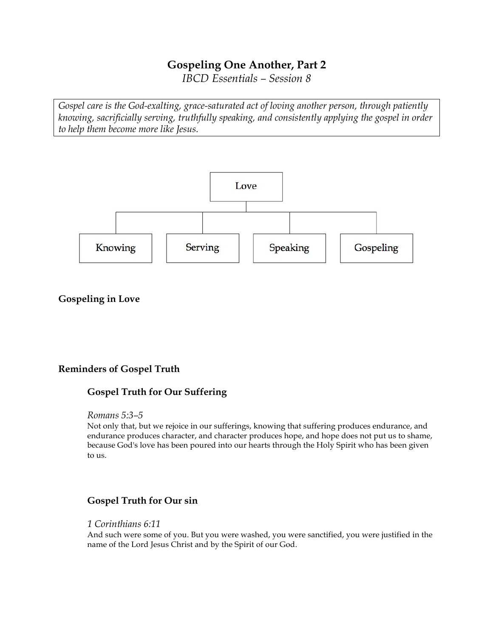# **Gospeling One Another, Part 2**

*IBCD Essentials – Session 8*

*Gospel care is the God-exalting, grace-saturated act of loving another person, through patiently knowing, sacrificially serving, truthfully speaking, and consistently applying the gospel in order to help them become more like Jesus.* 



## **Gospeling in Love**

## **Reminders of Gospel Truth**

## **Gospel Truth for Our Suffering**

### *Romans 5:3–5*

Not only that, but we rejoice in our sufferings, knowing that suffering produces endurance, and endurance produces character, and character produces hope, and hope does not put us to shame, because God's love has been poured into our hearts through the Holy Spirit who has been given to us.

## **Gospel Truth for Our sin**

### *1 Corinthians 6:11*

And such were some of you. But you were washed, you were sanctified, you were justified in the name of the Lord Jesus Christ and by the Spirit of our God.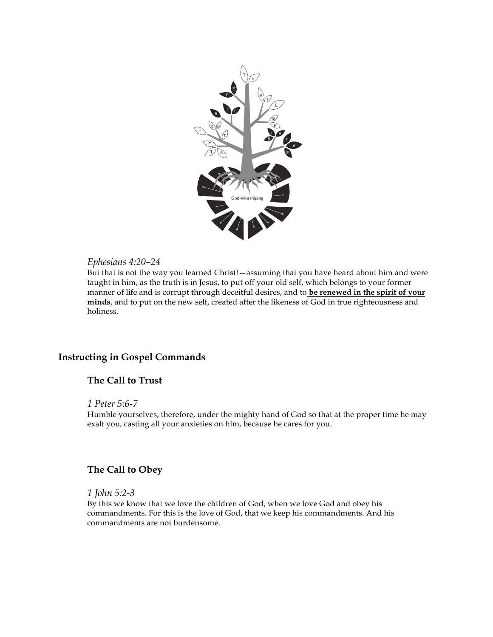

### *Ephesians 4:20–24*

But that is not the way you learned Christ!—assuming that you have heard about him and were taught in him, as the truth is in Jesus, to put off your old self, which belongs to your former manner of life and is corrupt through deceitful desires, and to **be renewed in the spirit of your minds**, and to put on the new self, created after the likeness of God in true righteousness and holiness.

# **Instructing in Gospel Commands**

## **The Call to Trust**

### *1 Peter 5:6-7*

Humble yourselves, therefore, under the mighty hand of God so that at the proper time he may exalt you, casting all your anxieties on him, because he cares for you.

## **The Call to Obey**

### *1 John 5:2-3*

By this we know that we love the children of God, when we love God and obey his commandments. For this is the love of God, that we keep his commandments. And his commandments are not burdensome.